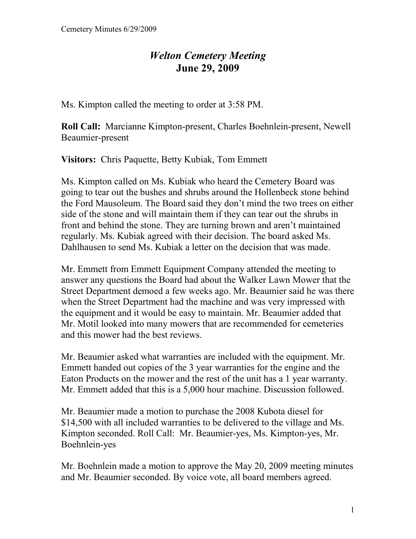## *Welton Cemetery Meeting*  **June 29, 2009**

Ms. Kimpton called the meeting to order at 3:58 PM.

**Roll Call:** Marcianne Kimpton-present, Charles Boehnlein-present, Newell Beaumier-present

**Visitors:** Chris Paquette, Betty Kubiak, Tom Emmett

Ms. Kimpton called on Ms. Kubiak who heard the Cemetery Board was going to tear out the bushes and shrubs around the Hollenbeck stone behind the Ford Mausoleum. The Board said they don't mind the two trees on either side of the stone and will maintain them if they can tear out the shrubs in front and behind the stone. They are turning brown and aren't maintained regularly. Ms. Kubiak agreed with their decision. The board asked Ms. Dahlhausen to send Ms. Kubiak a letter on the decision that was made.

Mr. Emmett from Emmett Equipment Company attended the meeting to answer any questions the Board had about the Walker Lawn Mower that the Street Department demoed a few weeks ago. Mr. Beaumier said he was there when the Street Department had the machine and was very impressed with the equipment and it would be easy to maintain. Mr. Beaumier added that Mr. Motil looked into many mowers that are recommended for cemeteries and this mower had the best reviews.

Mr. Beaumier asked what warranties are included with the equipment. Mr. Emmett handed out copies of the 3 year warranties for the engine and the Eaton Products on the mower and the rest of the unit has a 1 year warranty. Mr. Emmett added that this is a 5,000 hour machine. Discussion followed.

Mr. Beaumier made a motion to purchase the 2008 Kubota diesel for \$14,500 with all included warranties to be delivered to the village and Ms. Kimpton seconded. Roll Call: Mr. Beaumier-yes, Ms. Kimpton-yes, Mr. Boehnlein-yes

Mr. Boehnlein made a motion to approve the May 20, 2009 meeting minutes and Mr. Beaumier seconded. By voice vote, all board members agreed.